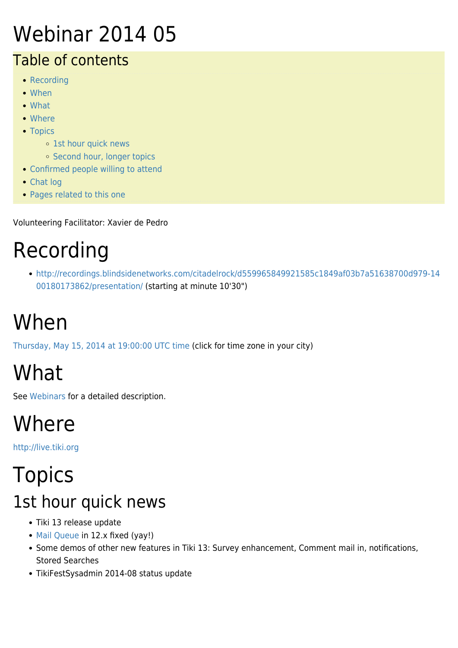#### Webinar 2014 05

#### Table of contents

- [Recording](#page--1-0)
- [When](#page--1-0)
- [What](#page--1-0)
- [Where](#page--1-0)
- [Topics](#page--1-0)
	- o [1st hour quick news](#page--1-0)
	- [Second hour, longer topics](#page--1-0)
- [Confirmed people willing to attend](#page--1-0)
- [Chat log](#page--1-0)
- [Pages related to this one](#page--1-0)

Volunteering Facilitator: Xavier de Pedro

# Recording

[http://recordings.blindsidenetworks.com/citadelrock/d559965849921585c1849af03b7a51638700d979-14](http://recordings.blindsidenetworks.com/citadelrock/d559965849921585c1849af03b7a51638700d979-1400180173862/presentation/) [00180173862/presentation/](http://recordings.blindsidenetworks.com/citadelrock/d559965849921585c1849af03b7a51638700d979-1400180173862/presentation/) (starting at minute 10'30")

# When

[Thursday, May 15, 2014 at 19:00:00 UTC time](http://www.timeanddate.com/worldclock/fixedtime.html?year=2014&month=5&day=15&hour=19&min=0&sec=0) (click for time zone in your city)

# What

See [Webinars](https://tiki.org/Roundtable-Meetings) for a detailed description.

## Where

<http://live.tiki.org>

## **Topics** 1st hour quick news

- Tiki 13 release update
- [Mail Queue](http://doc.tiki.org/Mail%20Queue) in 12.x fixed (yay!)
- Some demos of other new features in Tiki 13: Survey enhancement, Comment mail in, notifications, Stored Searches
- TikiFestSysadmin 2014-08 status update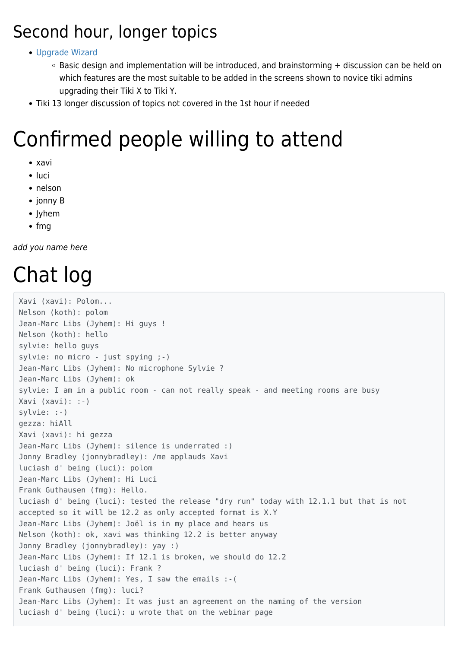#### Second hour, longer topics

#### [Upgrade Wizard](http://dev.tiki.org/Upgrade%20Wizard)

- $\circ$  Basic design and implementation will be introduced, and brainstorming  $+$  discussion can be held on which features are the most suitable to be added in the screens shown to novice tiki admins upgrading their Tiki X to Tiki Y.
- Tiki 13 longer discussion of topics not covered in the 1st hour if needed

#### Confirmed people willing to attend

- xavi
- luci
- nelson
- jonny B
- Jyhem
- $\bullet$  fmg

add you name here

## Chat log

```
Xavi (xavi): Polom...
Nelson (koth): polom
Jean-Marc Libs (Jyhem): Hi guys !
Nelson (koth): hello
sylvie: hello guys
sylvie: no micro - just spying ;-)
Jean-Marc Libs (Jyhem): No microphone Sylvie ?
Jean-Marc Libs (Jyhem): ok
sylvie: I am in a public room - can not really speak - and meeting rooms are busy
Xavi (xavi): :-)
sylvie: :-)
gezza: hiAll
Xavi (xavi): hi gezza
Jean-Marc Libs (Jyhem): silence is underrated :)
Jonny Bradley (jonnybradley): /me applauds Xavi
luciash d' being (luci): polom
Jean-Marc Libs (Jyhem): Hi Luci
Frank Guthausen (fmg): Hello.
luciash d' being (luci): tested the release "dry run" today with 12.1.1 but that is not
accepted so it will be 12.2 as only accepted format is X.Y
Jean-Marc Libs (Jyhem): Joël is in my place and hears us
Nelson (koth): ok, xavi was thinking 12.2 is better anyway
Jonny Bradley (jonnybradley): yay :)
Jean-Marc Libs (Jyhem): If 12.1 is broken, we should do 12.2
luciash d' being (luci): Frank ?
Jean-Marc Libs (Jyhem): Yes, I saw the emails :-(
Frank Guthausen (fmg): luci?
Jean-Marc Libs (Jyhem): It was just an agreement on the naming of the version
luciash d' being (luci): u wrote that on the webinar page
```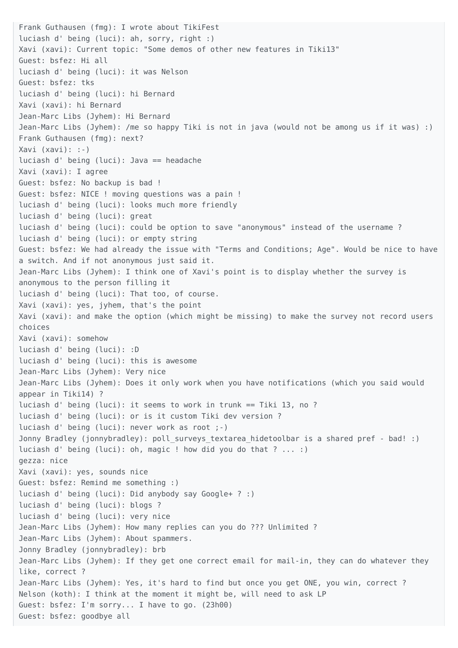Frank Guthausen (fmg): I wrote about TikiFest luciash d' being (luci): ah, sorry, right :) Xavi (xavi): Current topic: "Some demos of other new features in Tiki13" Guest: bsfez: Hi all luciash d' being (luci): it was Nelson Guest: bsfez: tks luciash d' being (luci): hi Bernard Xavi (xavi): hi Bernard Jean-Marc Libs (Jyhem): Hi Bernard Jean-Marc Libs (Jyhem): /me so happy Tiki is not in java (would not be among us if it was) :) Frank Guthausen (fmg): next? Xavi (xavi): :-) luciash d' being (luci): Java == headache Xavi (xavi): I agree Guest: bsfez: No backup is bad ! Guest: bsfez: NICE ! moving questions was a pain ! luciash d' being (luci): looks much more friendly luciash d' being (luci): great luciash d' being (luci): could be option to save "anonymous" instead of the username ? luciash d' being (luci): or empty string Guest: bsfez: We had already the issue with "Terms and Conditions; Age". Would be nice to have a switch. And if not anonymous just said it. Jean-Marc Libs (Jyhem): I think one of Xavi's point is to display whether the survey is anonymous to the person filling it luciash d' being (luci): That too, of course. Xavi (xavi): yes, jyhem, that's the point Xavi (xavi): and make the option (which might be missing) to make the survey not record users choices Xavi (xavi): somehow luciash d' being (luci): :D luciash d' being (luci): this is awesome Jean-Marc Libs (Jyhem): Very nice Jean-Marc Libs (Jyhem): Does it only work when you have notifications (which you said would appear in Tiki14) ? luciash d' being (luci): it seems to work in trunk == Tiki 13, no ? luciash d' being (luci): or is it custom Tiki dev version ? luciash d' being (luci): never work as root ;-) Jonny Bradley (jonnybradley): poll surveys textarea hidetoolbar is a shared pref - bad! :) luciash d' being (luci): oh, magic ! how did you do that ? ... :) gezza: nice Xavi (xavi): yes, sounds nice Guest: bsfez: Remind me something :) luciash d' being (luci): Did anybody say Google+ ? :) luciash d' being (luci): blogs ? luciash d' being (luci): very nice Jean-Marc Libs (Jyhem): How many replies can you do ??? Unlimited ? Jean-Marc Libs (Jyhem): About spammers. Jonny Bradley (jonnybradley): brb Jean-Marc Libs (Jyhem): If they get one correct email for mail-in, they can do whatever they like, correct ? Jean-Marc Libs (Jyhem): Yes, it's hard to find but once you get ONE, you win, correct ? Nelson (koth): I think at the moment it might be, will need to ask LP Guest: bsfez: I'm sorry... I have to go. (23h00) Guest: bsfez: goodbye all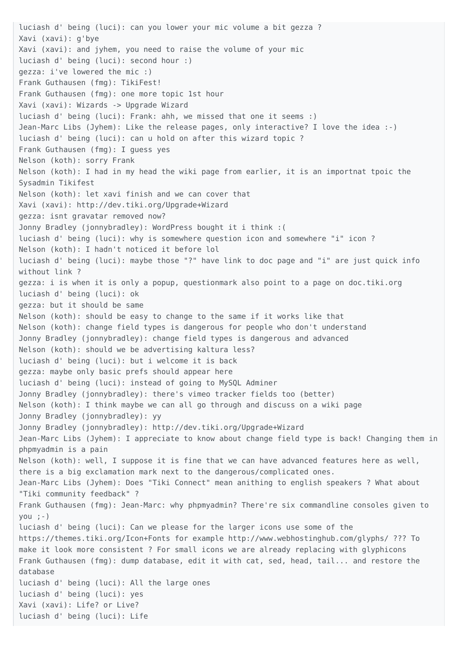luciash d' being (luci): can you lower your mic volume a bit gezza ? Xavi (xavi): g'bye Xavi (xavi): and jyhem, you need to raise the volume of your mic luciash d' being (luci): second hour :) gezza: i've lowered the mic :) Frank Guthausen (fmg): TikiFest! Frank Guthausen (fmg): one more topic 1st hour Xavi (xavi): Wizards -> Upgrade Wizard luciash d' being (luci): Frank: ahh, we missed that one it seems :) Jean-Marc Libs (Jyhem): Like the release pages, only interactive? I love the idea :-) luciash d' being (luci): can u hold on after this wizard topic ? Frank Guthausen (fmg): I guess yes Nelson (koth): sorry Frank Nelson (koth): I had in my head the wiki page from earlier, it is an importnat tpoic the Sysadmin Tikifest Nelson (koth): let xavi finish and we can cover that Xavi (xavi): http://dev.tiki.org/Upgrade+Wizard gezza: isnt gravatar removed now? Jonny Bradley (jonnybradley): WordPress bought it i think :( luciash d' being (luci): why is somewhere question icon and somewhere "i" icon ? Nelson (koth): I hadn't noticed it before lol luciash d' being (luci): maybe those "?" have link to doc page and "i" are just quick info without link ? gezza: i is when it is only a popup, questionmark also point to a page on doc.tiki.org luciash d' being (luci): ok gezza: but it should be same Nelson (koth): should be easy to change to the same if it works like that Nelson (koth): change field types is dangerous for people who don't understand Jonny Bradley (jonnybradley): change field types is dangerous and advanced Nelson (koth): should we be advertising kaltura less? luciash d' being (luci): but i welcome it is back gezza: maybe only basic prefs should appear here luciash d' being (luci): instead of going to MySQL Adminer Jonny Bradley (jonnybradley): there's vimeo tracker fields too (better) Nelson (koth): I think maybe we can all go through and discuss on a wiki page Jonny Bradley (jonnybradley): yy Jonny Bradley (jonnybradley): http://dev.tiki.org/Upgrade+Wizard Jean-Marc Libs (Jyhem): I appreciate to know about change field type is back! Changing them in phpmyadmin is a pain Nelson (koth): well, I suppose it is fine that we can have advanced features here as well, there is a big exclamation mark next to the dangerous/complicated ones. Jean-Marc Libs (Jyhem): Does "Tiki Connect" mean anithing to english speakers ? What about "Tiki community feedback" ? Frank Guthausen (fmg): Jean-Marc: why phpmyadmin? There're six commandline consoles given to  $you ; -)$ luciash d' being (luci): Can we please for the larger icons use some of the https://themes.tiki.org/Icon+Fonts for example http://www.webhostinghub.com/glyphs/ ??? To make it look more consistent ? For small icons we are already replacing with glyphicons Frank Guthausen (fmg): dump database, edit it with cat, sed, head, tail... and restore the database luciash d' being (luci): All the large ones luciash d' being (luci): yes Xavi (xavi): Life? or Live? luciash d' being (luci): Life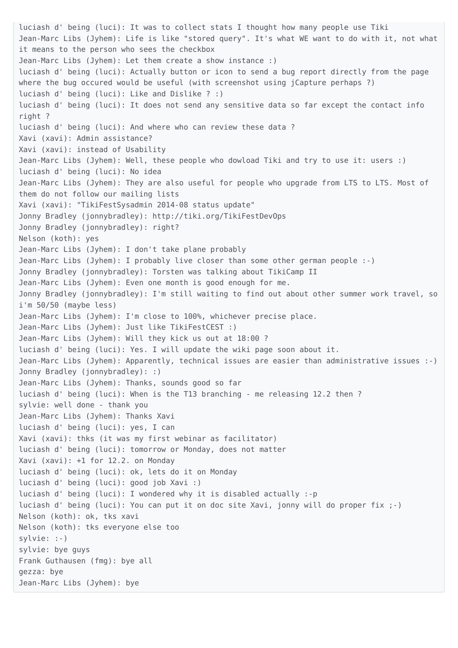luciash d' being (luci): It was to collect stats I thought how many people use Tiki Jean-Marc Libs (Jyhem): Life is like "stored query". It's what WE want to do with it, not what it means to the person who sees the checkbox Jean-Marc Libs (Jyhem): Let them create a show instance :) luciash d' being (luci): Actually button or icon to send a bug report directly from the page where the bug occured would be useful (with screenshot using jCapture perhaps ?) luciash d' being (luci): Like and Dislike ? :) luciash d' being (luci): It does not send any sensitive data so far except the contact info right ? luciash d' being (luci): And where who can review these data ? Xavi (xavi): Admin assistance? Xavi (xavi): instead of Usability Jean-Marc Libs (Jyhem): Well, these people who dowload Tiki and try to use it: users :) luciash d' being (luci): No idea Jean-Marc Libs (Jyhem): They are also useful for people who upgrade from LTS to LTS. Most of them do not follow our mailing lists Xavi (xavi): "TikiFestSysadmin 2014-08 status update" Jonny Bradley (jonnybradley): http://tiki.org/TikiFestDevOps Jonny Bradley (jonnybradley): right? Nelson (koth): yes Jean-Marc Libs (Jyhem): I don't take plane probably Jean-Marc Libs (Jyhem): I probably live closer than some other german people :-) Jonny Bradley (jonnybradley): Torsten was talking about TikiCamp II Jean-Marc Libs (Jyhem): Even one month is good enough for me. Jonny Bradley (jonnybradley): I'm still waiting to find out about other summer work travel, so i'm 50/50 (maybe less) Jean-Marc Libs (Jyhem): I'm close to 100%, whichever precise place. Jean-Marc Libs (Jyhem): Just like TikiFestCEST :) Jean-Marc Libs (Jyhem): Will they kick us out at 18:00 ? luciash d' being (luci): Yes. I will update the wiki page soon about it. Jean-Marc Libs (Jyhem): Apparently, technical issues are easier than administrative issues :-) Jonny Bradley (jonnybradley): :) Jean-Marc Libs (Jyhem): Thanks, sounds good so far luciash d' being (luci): When is the T13 branching - me releasing 12.2 then ? sylvie: well done - thank you Jean-Marc Libs (Jyhem): Thanks Xavi luciash d' being (luci): yes, I can Xavi (xavi): thks (it was my first webinar as facilitator) luciash d' being (luci): tomorrow or Monday, does not matter Xavi (xavi): +1 for 12.2. on Monday luciash d' being (luci): ok, lets do it on Monday luciash d' being (luci): good job Xavi :) luciash d' being (luci): I wondered why it is disabled actually :-p luciash d' being (luci): You can put it on doc site Xavi, jonny will do proper fix ;-) Nelson (koth): ok, tks xavi Nelson (koth): tks everyone else too sylvie: :-) sylvie: bye guys Frank Guthausen (fmg): bye all gezza: bye Jean-Marc Libs (Jyhem): bye